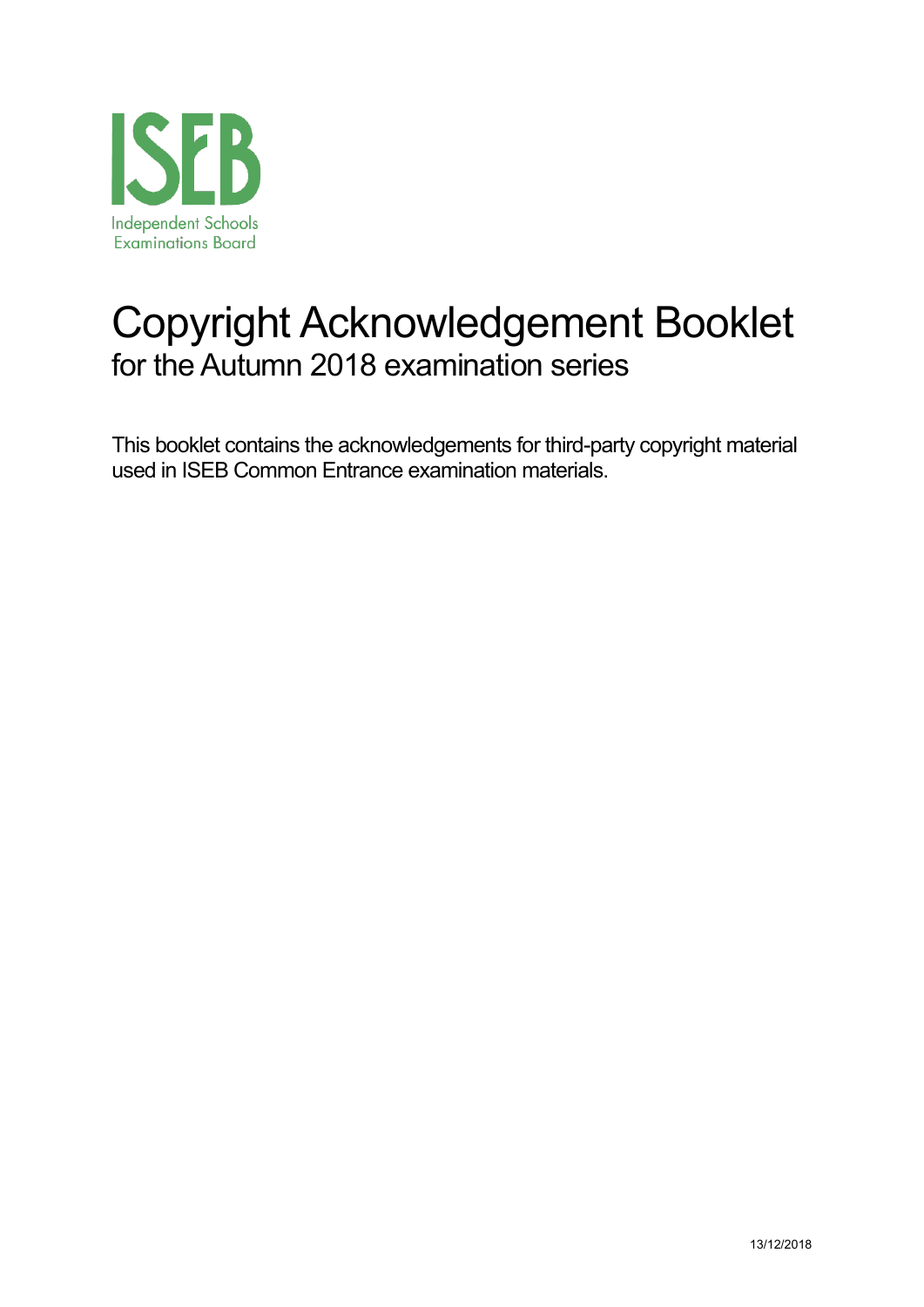

# Copyright Acknowledgement Booklet for the Autumn 2018 examination series

This booklet contains the acknowledgements for third-party copyright material used in ISEB Common Entrance examination materials.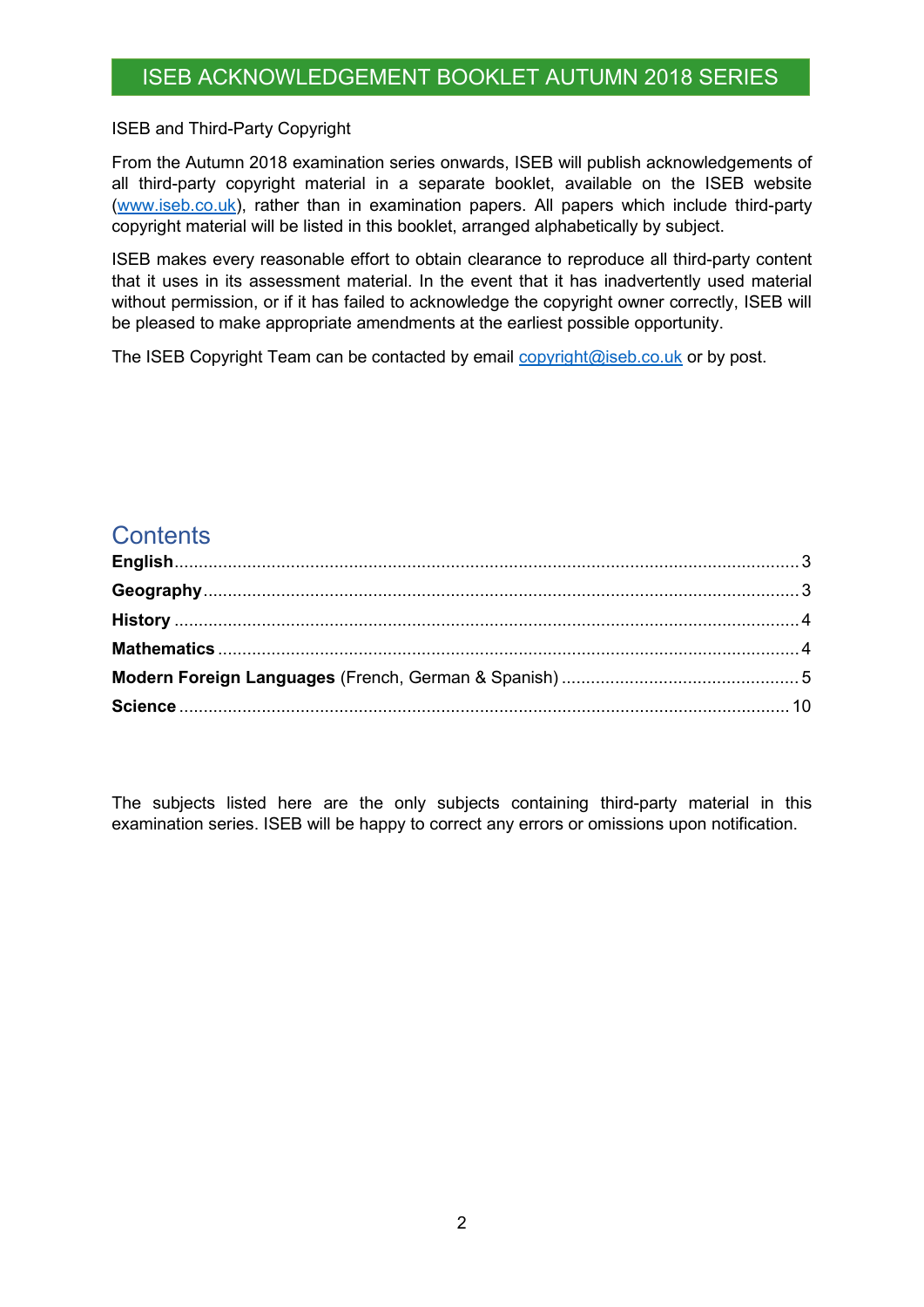#### ISEB and Third-Party Copyright

From the Autumn 2018 examination series onwards, ISEB will publish acknowledgements of all third-party copyright material in a separate booklet, available on the ISEB website [\(www.iseb.co.uk\)](http://www.iseb.co.uk/), rather than in examination papers. All papers which include third-party copyright material will be listed in this booklet, arranged alphabetically by subject.

ISEB makes every reasonable effort to obtain clearance to reproduce all third-party content that it uses in its assessment material. In the event that it has inadvertently used material without permission, or if it has failed to acknowledge the copyright owner correctly, ISEB will be pleased to make appropriate amendments at the earliest possible opportunity.

The ISEB Copyright Team can be contacted by email [copyright@iseb.co.uk](mailto:copyright@iseb.co.uk) or by post.

#### **Contents**

The subjects listed here are the only subjects containing third-party material in this examination series. ISEB will be happy to correct any errors or omissions upon notification.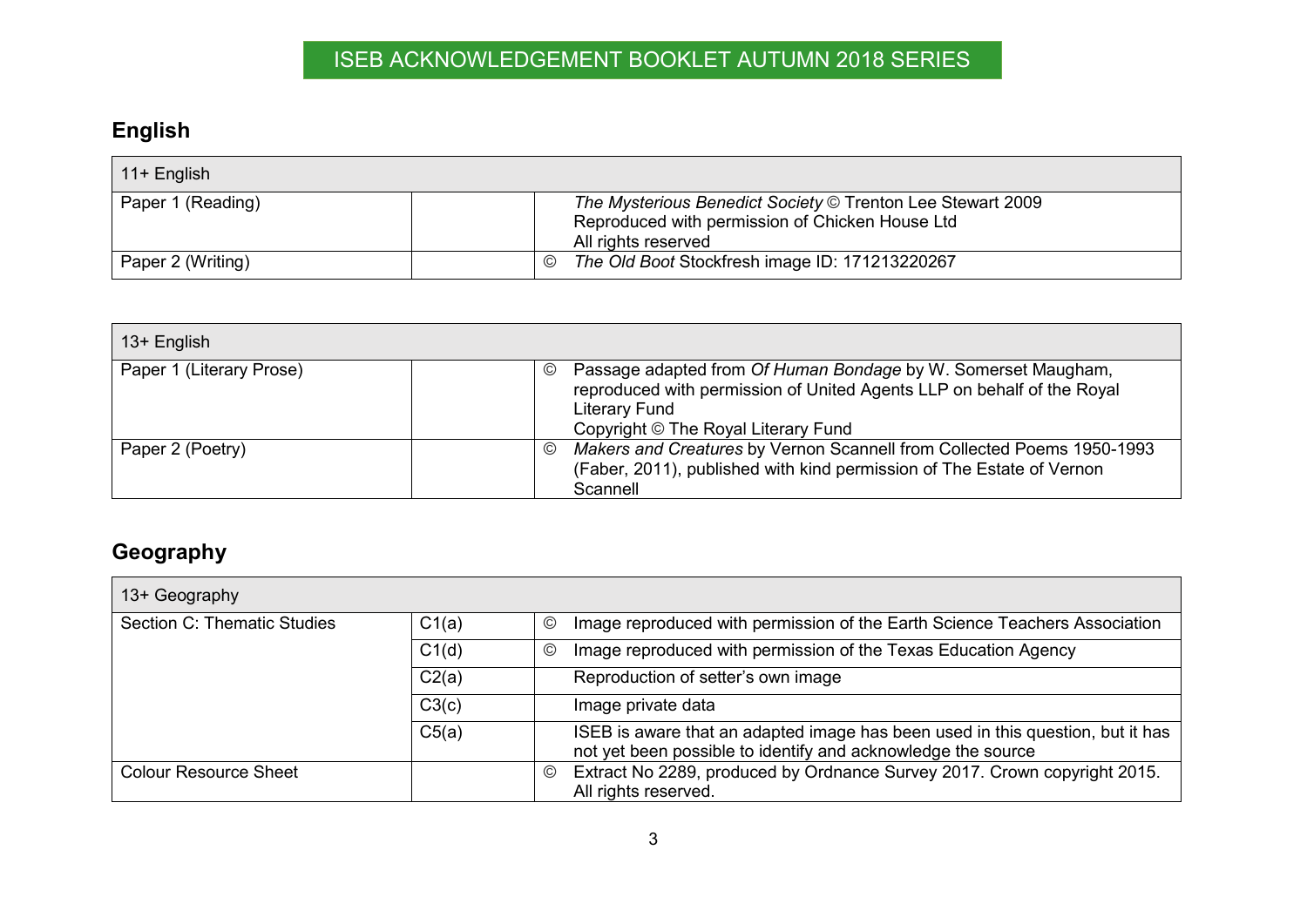## **English**

| $11+$ English     |                                                                                                                                      |  |
|-------------------|--------------------------------------------------------------------------------------------------------------------------------------|--|
| Paper 1 (Reading) | The Mysterious Benedict Society © Trenton Lee Stewart 2009<br>Reproduced with permission of Chicken House Ltd<br>All rights reserved |  |
| Paper 2 (Writing) | The Old Boot Stockfresh image ID: 171213220267<br>$\circled{c}$                                                                      |  |

| 13+ English              |                                                                                                                                                                                                                          |
|--------------------------|--------------------------------------------------------------------------------------------------------------------------------------------------------------------------------------------------------------------------|
| Paper 1 (Literary Prose) | Passage adapted from Of Human Bondage by W. Somerset Maugham,<br>$\circledcirc$<br>reproduced with permission of United Agents LLP on behalf of the Royal<br><b>Literary Fund</b><br>Copyright © The Royal Literary Fund |
| Paper 2 (Poetry)         | Makers and Creatures by Vernon Scannell from Collected Poems 1950-1993<br>$\circledcirc$<br>(Faber, 2011), published with kind permission of The Estate of Vernon<br>Scannell                                            |

## <span id="page-2-0"></span>**Geography**

<span id="page-2-1"></span>

| 13+ Geography                |       |               |                                                                                                                                                |
|------------------------------|-------|---------------|------------------------------------------------------------------------------------------------------------------------------------------------|
| Section C: Thematic Studies  | C1(a) | $^\copyright$ | Image reproduced with permission of the Earth Science Teachers Association                                                                     |
|                              | C1(d) | $^\copyright$ | Image reproduced with permission of the Texas Education Agency                                                                                 |
|                              | C2(a) |               | Reproduction of setter's own image                                                                                                             |
|                              | C3(c) |               | Image private data                                                                                                                             |
|                              | C5(a) |               | ISEB is aware that an adapted image has been used in this question, but it has<br>not yet been possible to identify and acknowledge the source |
| <b>Colour Resource Sheet</b> |       | ©             | Extract No 2289, produced by Ordnance Survey 2017. Crown copyright 2015.                                                                       |
|                              |       |               | All rights reserved.                                                                                                                           |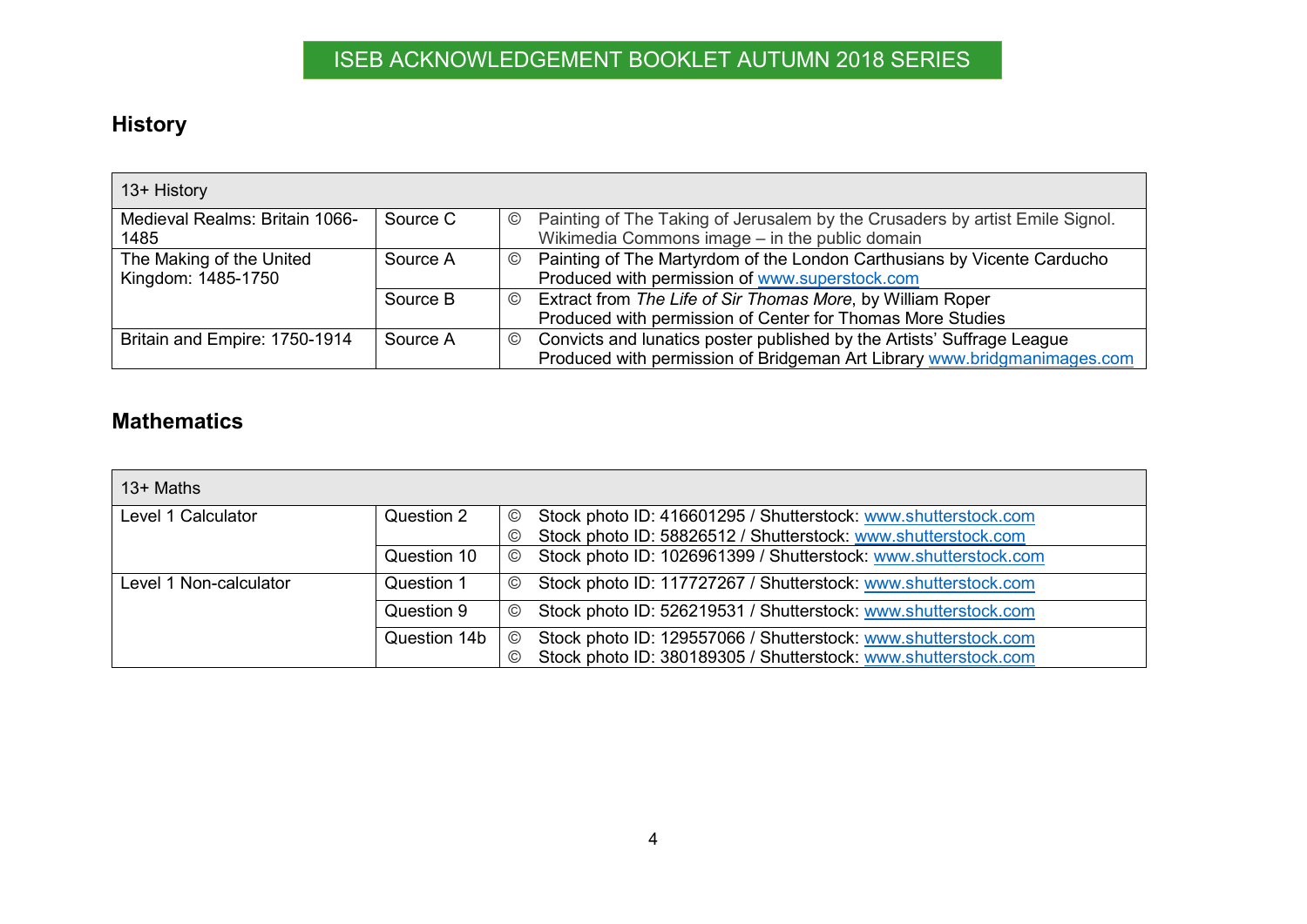## **History**

| 13+ History                    |          |                                                                                                |
|--------------------------------|----------|------------------------------------------------------------------------------------------------|
| Medieval Realms: Britain 1066- | Source C | Painting of The Taking of Jerusalem by the Crusaders by artist Emile Signol.<br>$\circledcirc$ |
| 1485                           |          | Wikimedia Commons image - in the public domain                                                 |
| The Making of the United       | Source A | Painting of The Martyrdom of the London Carthusians by Vicente Carducho<br>$\circledcirc$      |
| Kingdom: 1485-1750             |          | Produced with permission of www.superstock.com                                                 |
|                                | Source B | Extract from The Life of Sir Thomas More, by William Roper<br>$\odot$                          |
|                                |          | Produced with permission of Center for Thomas More Studies                                     |
| Britain and Empire: 1750-1914  | Source A | Convicts and lunatics poster published by the Artists' Suffrage League<br>$\circledcirc$       |
|                                |          | Produced with permission of Bridgeman Art Library www.bridgmanimages.com                       |

#### **Mathematics**

<span id="page-3-1"></span><span id="page-3-0"></span>

| $13+$ Maths            |              |                |                                                                 |
|------------------------|--------------|----------------|-----------------------------------------------------------------|
| Level 1 Calculator     | Question 2   | $\odot$        | Stock photo ID: 416601295 / Shutterstock: www.shutterstock.com  |
|                        |              | $\circledcirc$ | Stock photo ID: 58826512 / Shutterstock: www.shutterstock.com   |
|                        | Question 10  | $\odot$        | Stock photo ID: 1026961399 / Shutterstock: www.shutterstock.com |
| Level 1 Non-calculator | Question 1   | $\circledcirc$ | Stock photo ID: 117727267 / Shutterstock: www.shutterstock.com  |
|                        | Question 9   | $\odot$        | Stock photo ID: 526219531 / Shutterstock: www.shutterstock.com  |
|                        | Question 14b | $\odot$        | Stock photo ID: 129557066 / Shutterstock: www.shutterstock.com  |
|                        |              | $\circledcirc$ | Stock photo ID: 380189305 / Shutterstock: www.shutterstock.com  |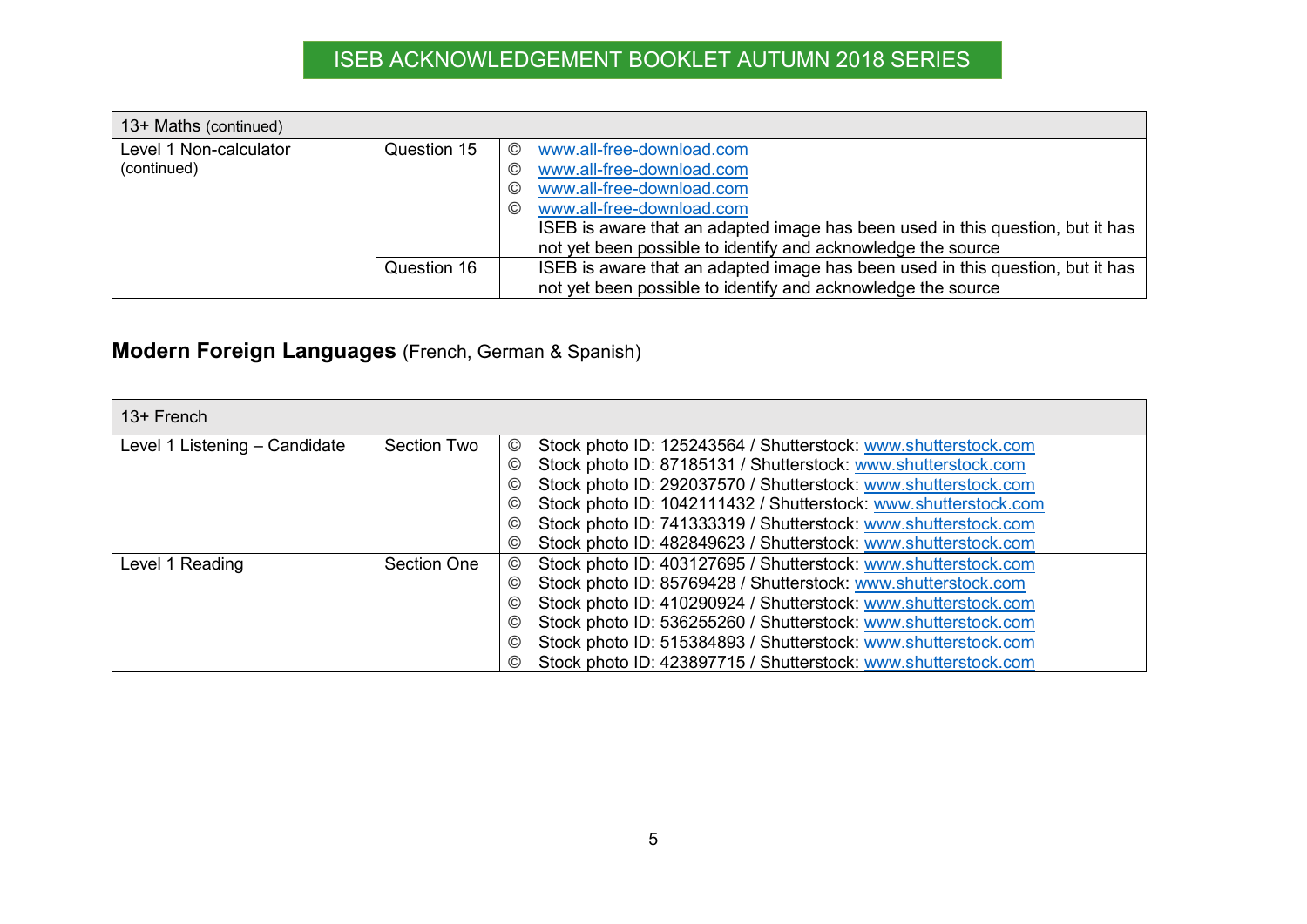| 13+ Maths (continued)                 |             |                                                                                                                                                                                                                                                                                              |
|---------------------------------------|-------------|----------------------------------------------------------------------------------------------------------------------------------------------------------------------------------------------------------------------------------------------------------------------------------------------|
| Level 1 Non-calculator<br>(continued) | Question 15 | www.all-free-download.com<br>©<br>www.all-free-download.com<br>©<br>www.all-free-download.com<br>©<br>www.all-free-download.com<br>$\odot$<br>ISEB is aware that an adapted image has been used in this question, but it has<br>not yet been possible to identify and acknowledge the source |
|                                       | Question 16 | ISEB is aware that an adapted image has been used in this question, but it has<br>not yet been possible to identify and acknowledge the source                                                                                                                                               |

### **Modern Foreign Languages** (French, German & Spanish)

<span id="page-4-0"></span>

| 13+ French                    |             |                                                                                  |
|-------------------------------|-------------|----------------------------------------------------------------------------------|
| Level 1 Listening - Candidate | Section Two | Stock photo ID: 125243564 / Shutterstock: www.shutterstock.com<br>©              |
|                               |             | Stock photo ID: 87185131 / Shutterstock: www.shutterstock.com<br>$\odot$         |
|                               |             | Stock photo ID: 292037570 / Shutterstock: www.shutterstock.com<br>$\odot$        |
|                               |             | Stock photo ID: 1042111432 / Shutterstock: www.shutterstock.com<br>$\odot$       |
|                               |             | Stock photo ID: 741333319 / Shutterstock: www.shutterstock.com<br>$\odot$        |
|                               |             | Stock photo ID: 482849623 / Shutterstock: www.shutterstock.com<br>$\odot$        |
| Level 1 Reading               | Section One | Stock photo ID: 403127695 / Shutterstock: www.shutterstock.com<br>$\odot$        |
|                               |             | Stock photo ID: 85769428 / Shutterstock: www.shutterstock.com<br>$\odot$         |
|                               |             | Stock photo ID: 410290924 / Shutterstock: www.shutterstock.com<br>$\circledcirc$ |
|                               |             | Stock photo ID: 536255260 / Shutterstock: www.shutterstock.com<br>$\odot$        |
|                               |             | Stock photo ID: 515384893 / Shutterstock: www.shutterstock.com<br>$\odot$        |
|                               |             | Stock photo ID: 423897715 / Shutterstock: www.shutterstock.com<br>$\circledcirc$ |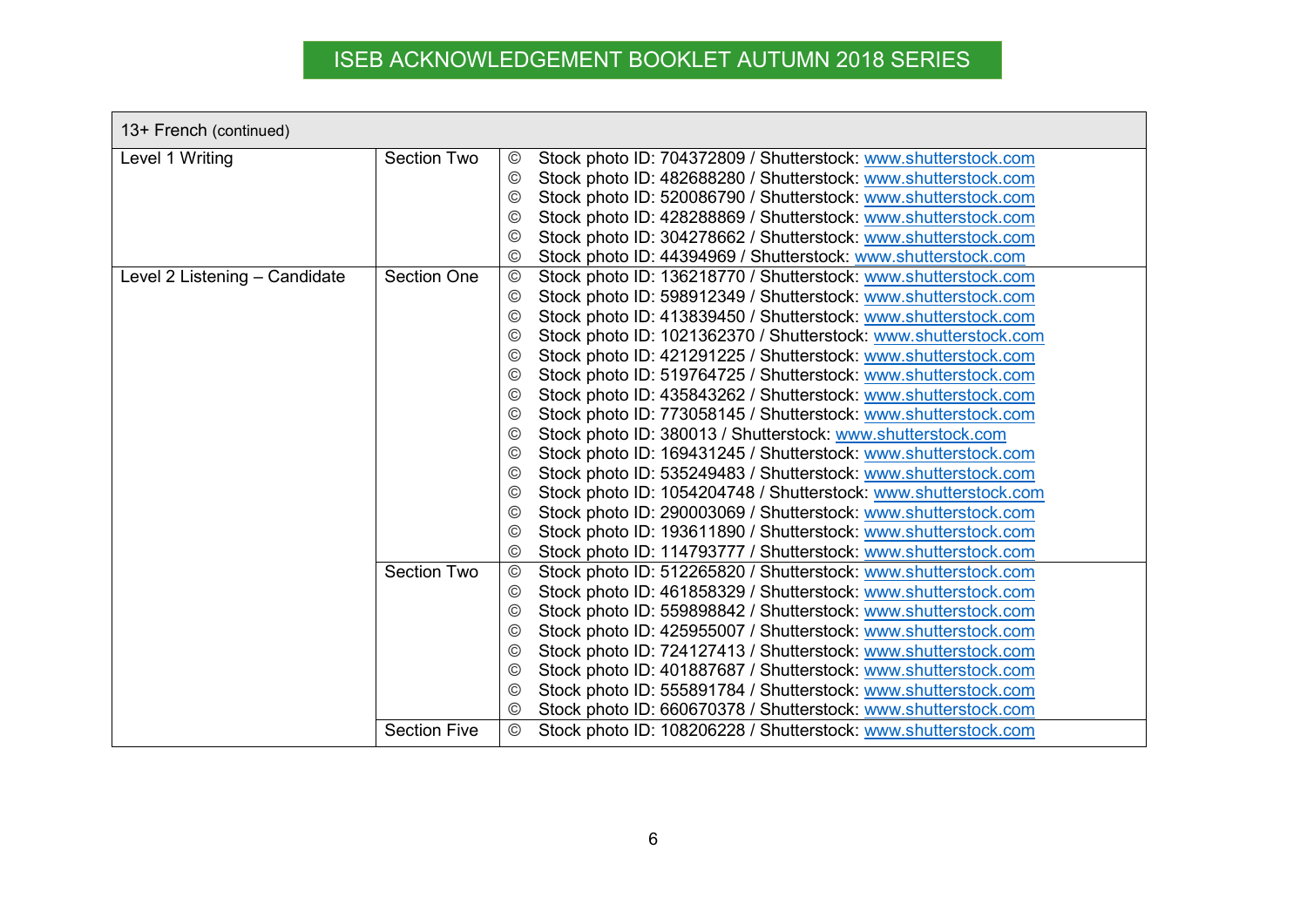| 13+ French (continued)        |                     |                                                                                   |
|-------------------------------|---------------------|-----------------------------------------------------------------------------------|
| Level 1 Writing               | <b>Section Two</b>  | Stock photo ID: 704372809 / Shutterstock: www.shutterstock.com<br>$_{\mathbb{C}}$ |
|                               |                     | Stock photo ID: 482688280 / Shutterstock: www.shutterstock.com<br>$\odot$         |
|                               |                     | Stock photo ID: 520086790 / Shutterstock: www.shutterstock.com<br>$\odot$         |
|                               |                     | Stock photo ID: 428288869 / Shutterstock: www.shutterstock.com<br>$\circled{c}$   |
|                               |                     | Stock photo ID: 304278662 / Shutterstock: www.shutterstock.com<br>$\circled{c}$   |
|                               |                     | Stock photo ID: 44394969 / Shutterstock: www.shutterstock.com<br>$_{\odot}$       |
| Level 2 Listening - Candidate | <b>Section One</b>  | Stock photo ID: 136218770 / Shutterstock: www.shutterstock.com<br>$^{\circledR}$  |
|                               |                     | Stock photo ID: 598912349 / Shutterstock: www.shutterstock.com<br>$\circledcirc$  |
|                               |                     | Stock photo ID: 413839450 / Shutterstock: www.shutterstock.com<br>$\odot$         |
|                               |                     | Stock photo ID: 1021362370 / Shutterstock: www.shutterstock.com<br>$\odot$        |
|                               |                     | Stock photo ID: 421291225 / Shutterstock: www.shutterstock.com<br>$\odot$         |
|                               |                     | Stock photo ID: 519764725 / Shutterstock: www.shutterstock.com<br>$\odot$         |
|                               |                     | Stock photo ID: 435843262 / Shutterstock: www.shutterstock.com<br>$\odot$         |
|                               |                     | Stock photo ID: 773058145 / Shutterstock: www.shutterstock.com<br>$\odot$         |
|                               |                     | Stock photo ID: 380013 / Shutterstock: www.shutterstock.com<br>$\odot$            |
|                               |                     | Stock photo ID: 169431245 / Shutterstock: www.shutterstock.com<br>$\odot$         |
|                               |                     | Stock photo ID: 535249483 / Shutterstock: www.shutterstock.com<br>$\odot$         |
|                               |                     | Stock photo ID: 1054204748 / Shutterstock: www.shutterstock.com<br>$\rm (C)$      |
|                               |                     | Stock photo ID: 290003069 / Shutterstock: www.shutterstock.com<br>$\circledcirc$  |
|                               |                     | Stock photo ID: 193611890 / Shutterstock: www.shutterstock.com<br>$\circledcirc$  |
|                               |                     | Stock photo ID: 114793777 / Shutterstock: www.shutterstock.com<br>$_{\odot}$      |
|                               | <b>Section Two</b>  | Stock photo ID: 512265820 / Shutterstock: www.shutterstock.com<br>$\circledcirc$  |
|                               |                     | Stock photo ID: 461858329 / Shutterstock: www.shutterstock.com<br>$\odot$         |
|                               |                     | Stock photo ID: 559898842 / Shutterstock: www.shutterstock.com<br>$\odot$         |
|                               |                     | Stock photo ID: 425955007 / Shutterstock: www.shutterstock.com<br>$\odot$         |
|                               |                     | Stock photo ID: 724127413 / Shutterstock: www.shutterstock.com<br>$\odot$         |
|                               |                     | Stock photo ID: 401887687 / Shutterstock: www.shutterstock.com<br>$\odot$         |
|                               |                     | Stock photo ID: 555891784 / Shutterstock: www.shutterstock.com<br>$\odot$         |
|                               |                     | Stock photo ID: 660670378 / Shutterstock: www.shutterstock.com<br>$\circled{c}$   |
|                               | <b>Section Five</b> | $^{\circledR}$<br>Stock photo ID: 108206228 / Shutterstock: www.shutterstock.com  |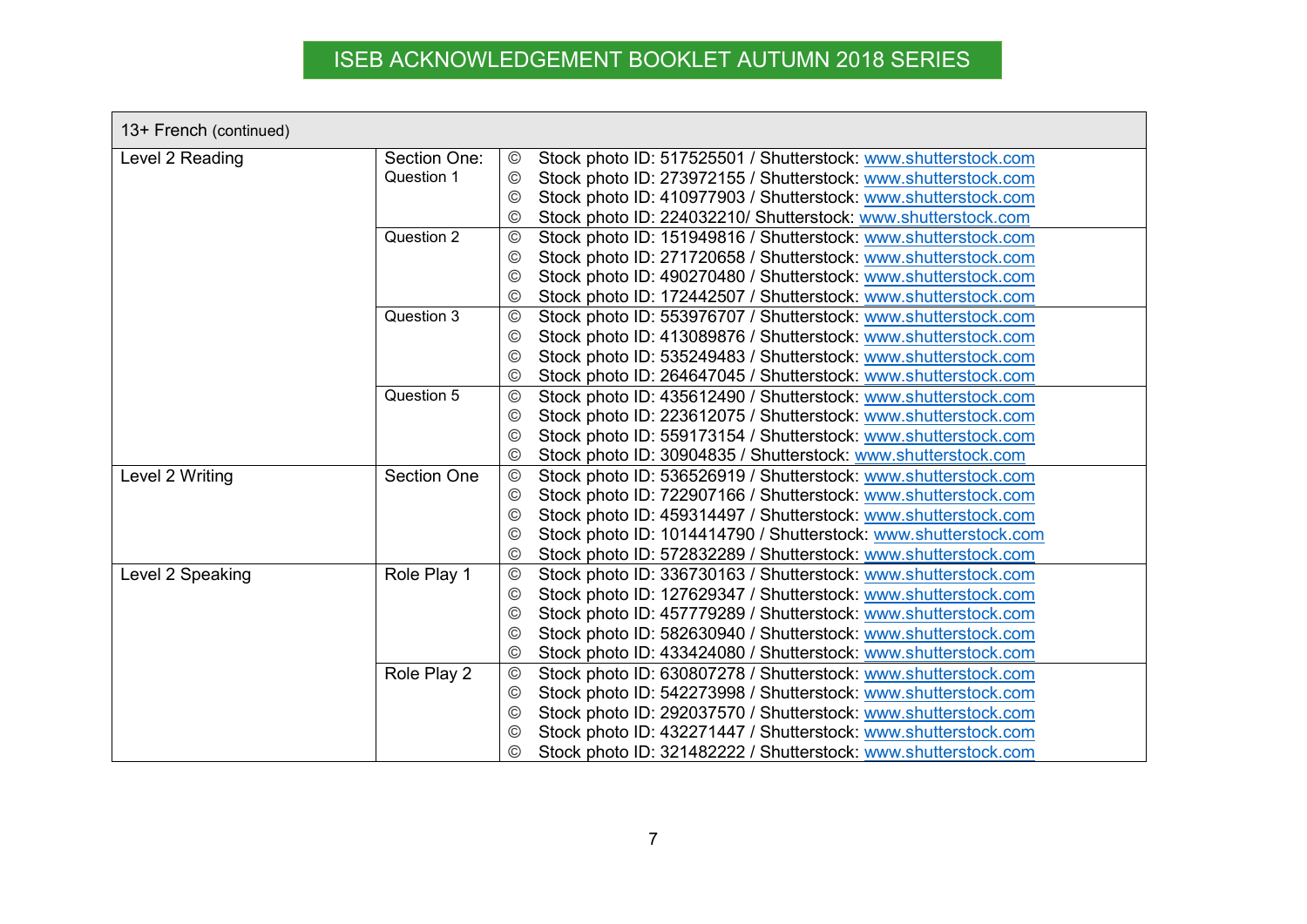| 13+ French (continued) |                    |                                                                                   |
|------------------------|--------------------|-----------------------------------------------------------------------------------|
| Level 2 Reading        | Section One:       | $^\copyright$<br>Stock photo ID: 517525501 / Shutterstock: www.shutterstock.com   |
|                        | Question 1         | Stock photo ID: 273972155 / Shutterstock: www.shutterstock.com<br>$\circledcirc$  |
|                        |                    | Stock photo ID: 410977903 / Shutterstock: www.shutterstock.com<br>©               |
|                        |                    | Stock photo ID: 224032210/ Shutterstock: www.shutterstock.com<br>$^{\circledR}$   |
|                        | Question 2         | $\odot$<br>Stock photo ID: 151949816 / Shutterstock: www.shutterstock.com         |
|                        |                    | Stock photo ID: 271720658 / Shutterstock: www.shutterstock.com<br>$_{\odot}$      |
|                        |                    | Stock photo ID: 490270480 / Shutterstock: www.shutterstock.com<br>$_{\odot}$      |
|                        |                    | Stock photo ID: 172442507 / Shutterstock: www.shutterstock.com<br>$_{\mathbb{C}}$ |
|                        | Question 3         | $\odot$<br>Stock photo ID: 553976707 / Shutterstock: www.shutterstock.com         |
|                        |                    | Stock photo ID: 413089876 / Shutterstock: www.shutterstock.com<br>©               |
|                        |                    | Stock photo ID: 535249483 / Shutterstock: www.shutterstock.com<br>$^{\circledR}$  |
|                        |                    | Stock photo ID: 264647045 / Shutterstock: www.shutterstock.com<br>$^{\circledR}$  |
|                        | Question 5         | Stock photo ID: 435612490 / Shutterstock: www.shutterstock.com<br>$\circledcirc$  |
|                        |                    | Stock photo ID: 223612075 / Shutterstock: www.shutterstock.com<br>$_{\mathbb{C}}$ |
|                        |                    | Stock photo ID: 559173154 / Shutterstock: www.shutterstock.com<br>$_{\mathbb{C}}$ |
|                        |                    | Stock photo ID: 30904835 / Shutterstock: www.shutterstock.com<br>$^{\circledR}$   |
| Level 2 Writing        | <b>Section One</b> | Stock photo ID: 536526919 / Shutterstock: www.shutterstock.com<br>$\circledcirc$  |
|                        |                    | Stock photo ID: 722907166 / Shutterstock: www.shutterstock.com<br>$\circledcirc$  |
|                        |                    | Stock photo ID: 459314497 / Shutterstock: www.shutterstock.com<br>$_{\mathbb{O}}$ |
|                        |                    | Stock photo ID: 1014414790 / Shutterstock: www.shutterstock.com<br>$\odot$        |
|                        |                    | Stock photo ID: 572832289 / Shutterstock: www.shutterstock.com<br>$^{\circledR}$  |
| Level 2 Speaking       | Role Play 1        | Stock photo ID: 336730163 / Shutterstock: www.shutterstock.com<br>$\circledcirc$  |
|                        |                    | Stock photo ID: 127629347 / Shutterstock: www.shutterstock.com<br>$\odot$         |
|                        |                    | Stock photo ID: 457779289 / Shutterstock: www.shutterstock.com<br>$^{\circledR}$  |
|                        |                    | Stock photo ID: 582630940 / Shutterstock: www.shutterstock.com<br>$_{\mathbb{O}}$ |
|                        |                    | Stock photo ID: 433424080 / Shutterstock: www.shutterstock.com<br>$\odot$         |
|                        | Role Play 2        | Stock photo ID: 630807278 / Shutterstock: www.shutterstock.com<br>$^{\circledR}$  |
|                        |                    | Stock photo ID: 542273998 / Shutterstock: www.shutterstock.com<br>$_{\mathbb{C}}$ |
|                        |                    | Stock photo ID: 292037570 / Shutterstock: www.shutterstock.com<br>$^{\copyright}$ |
|                        |                    | Stock photo ID: 432271447 / Shutterstock: www.shutterstock.com<br>©               |
|                        |                    | Stock photo ID: 321482222 / Shutterstock: www.shutterstock.com<br>$^{\copyright}$ |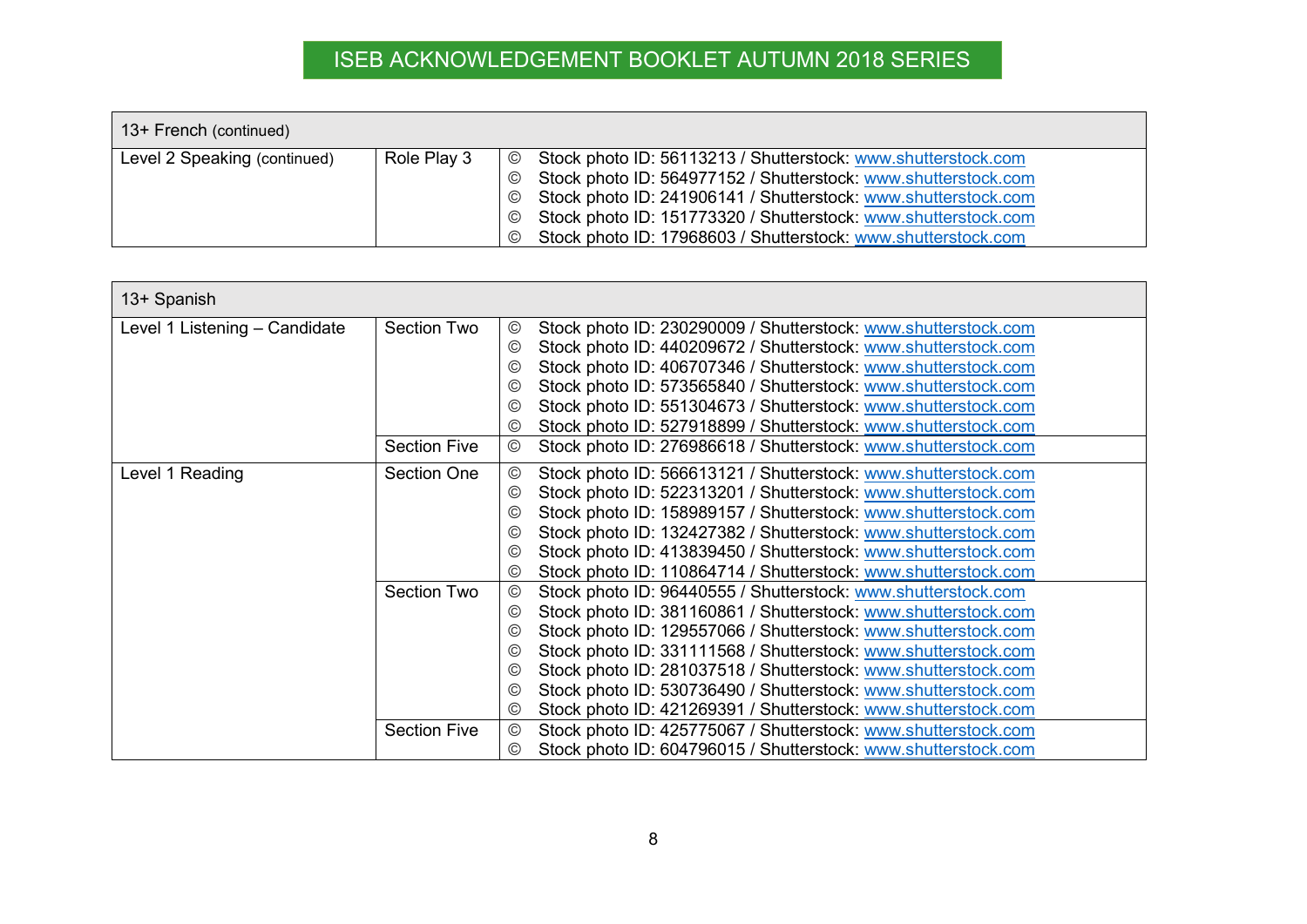| 13+ French (continued)       |             |                                                                                                                                                                                                                                                                                                                                                                                                                 |
|------------------------------|-------------|-----------------------------------------------------------------------------------------------------------------------------------------------------------------------------------------------------------------------------------------------------------------------------------------------------------------------------------------------------------------------------------------------------------------|
| Level 2 Speaking (continued) | Role Play 3 | Stock photo ID: 56113213 / Shutterstock: www.shutterstock.com<br>$\circledcirc$<br>Stock photo ID: 564977152 / Shutterstock: www.shutterstock.com<br>$\odot$<br>Stock photo ID: 241906141 / Shutterstock: www.shutterstock.com<br>$\circledcirc$<br>Stock photo ID: 151773320 / Shutterstock: www.shutterstock.com<br>$\odot$<br>Stock photo ID: 17968603 / Shutterstock: www.shutterstock.com<br>$\circled{c}$ |

| 13+ Spanish                   |                     |                                                                                   |
|-------------------------------|---------------------|-----------------------------------------------------------------------------------|
| Level 1 Listening – Candidate | Section Two         | $_{\mathbb{O}}$<br>Stock photo ID: 230290009 / Shutterstock: www.shutterstock.com |
|                               |                     | Stock photo ID: 440209672 / Shutterstock: www.shutterstock.com<br>$_{\mathbb{C}}$ |
|                               |                     | Stock photo ID: 406707346 / Shutterstock: www.shutterstock.com<br>$\circled{c}$   |
|                               |                     | Stock photo ID: 573565840 / Shutterstock: www.shutterstock.com<br>$\circled{c}$   |
|                               |                     | Stock photo ID: 551304673 / Shutterstock: www.shutterstock.com<br>$\circled{c}$   |
|                               |                     | Stock photo ID: 527918899 / Shutterstock: www.shutterstock.com<br>$\circled{c}$   |
|                               | <b>Section Five</b> | Stock photo ID: 276986618 / Shutterstock: www.shutterstock.com<br>©               |
| Level 1 Reading               | <b>Section One</b>  | Stock photo ID: 566613121 / Shutterstock: www.shutterstock.com<br>$^\copyright$   |
|                               |                     | Stock photo ID: 522313201 / Shutterstock: www.shutterstock.com<br>$\circledcirc$  |
|                               |                     | Stock photo ID: 158989157 / Shutterstock: www.shutterstock.com<br>$\circled{c}$   |
|                               |                     | Stock photo ID: 132427382 / Shutterstock: www.shutterstock.com<br>$\circled{c}$   |
|                               |                     | Stock photo ID: 413839450 / Shutterstock: www.shutterstock.com<br>$\circled{c}$   |
|                               |                     | Stock photo ID: 110864714 / Shutterstock: www.shutterstock.com<br>©               |
|                               | <b>Section Two</b>  | Stock photo ID: 96440555 / Shutterstock: www.shutterstock.com<br>$^{\circ}$       |
|                               |                     | Stock photo ID: 381160861 / Shutterstock: www.shutterstock.com<br>$\circledcirc$  |
|                               |                     | Stock photo ID: 129557066 / Shutterstock: www.shutterstock.com<br>$\circled{c}$   |
|                               |                     | Stock photo ID: 331111568 / Shutterstock: www.shutterstock.com<br>$\circled{c}$   |
|                               |                     | Stock photo ID: 281037518 / Shutterstock: www.shutterstock.com<br>$\circled{c}$   |
|                               |                     | Stock photo ID: 530736490 / Shutterstock: www.shutterstock.com<br>$\circled{c}$   |
|                               |                     | Stock photo ID: 421269391 / Shutterstock: www.shutterstock.com<br>$\circled{c}$   |
|                               | <b>Section Five</b> | Stock photo ID: 425775067 / Shutterstock: www.shutterstock.com<br>$^{\circ}$      |
|                               |                     | Stock photo ID: 604796015 / Shutterstock: www.shutterstock.com<br>$\circledcirc$  |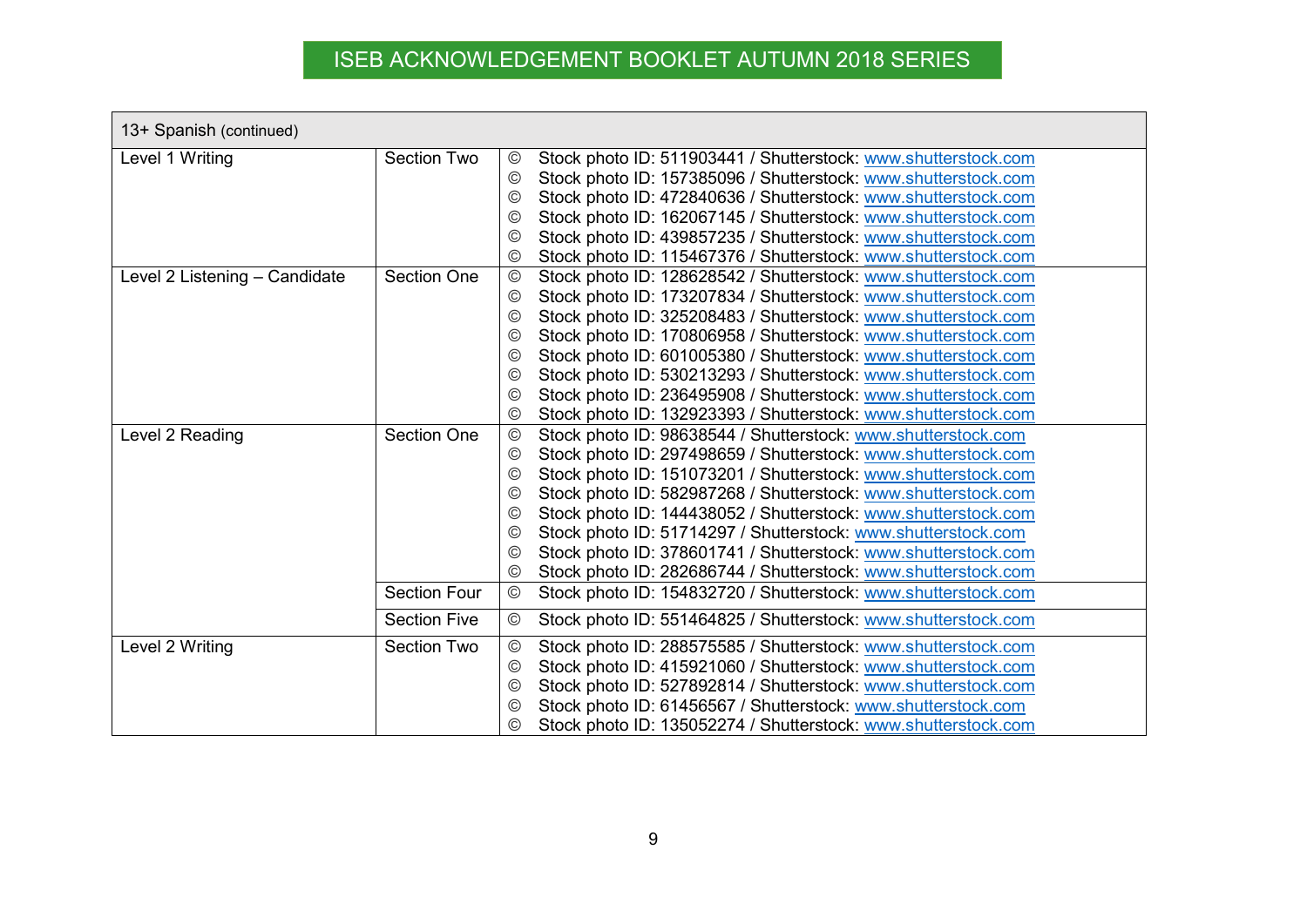| 13+ Spanish (continued)       |                     |                                                                                   |  |  |
|-------------------------------|---------------------|-----------------------------------------------------------------------------------|--|--|
| Level 1 Writing               | <b>Section Two</b>  | Stock photo ID: 511903441 / Shutterstock: www.shutterstock.com<br>$_{\odot}$      |  |  |
|                               |                     | Stock photo ID: 157385096 / Shutterstock: www.shutterstock.com<br>$\odot$         |  |  |
|                               |                     | Stock photo ID: 472840636 / Shutterstock: www.shutterstock.com<br>©               |  |  |
|                               |                     | Stock photo ID: 162067145 / Shutterstock: www.shutterstock.com<br>$\circledcirc$  |  |  |
|                               |                     | Stock photo ID: 439857235 / Shutterstock: www.shutterstock.com<br>©               |  |  |
|                               |                     | Stock photo ID: 115467376 / Shutterstock: www.shutterstock.com<br>©               |  |  |
| Level 2 Listening - Candidate | <b>Section One</b>  | Stock photo ID: 128628542 / Shutterstock: www.shutterstock.com<br>$_{\mathbb{C}}$ |  |  |
|                               |                     | Stock photo ID: 173207834 / Shutterstock: www.shutterstock.com<br>$_{\mathbb{C}}$ |  |  |
|                               |                     | Stock photo ID: 325208483 / Shutterstock: www.shutterstock.com<br>$\odot$         |  |  |
|                               |                     | Stock photo ID: 170806958 / Shutterstock: www.shutterstock.com<br>$\odot$         |  |  |
|                               |                     | Stock photo ID: 601005380 / Shutterstock: www.shutterstock.com<br>$^{\copyright}$ |  |  |
|                               |                     | Stock photo ID: 530213293 / Shutterstock: www.shutterstock.com<br>$_{\odot}$      |  |  |
|                               |                     | Stock photo ID: 236495908 / Shutterstock: www.shutterstock.com<br>©               |  |  |
|                               |                     | Stock photo ID: 132923393 / Shutterstock: www.shutterstock.com<br>©               |  |  |
| Level 2 Reading               | <b>Section One</b>  | Stock photo ID: 98638544 / Shutterstock: www.shutterstock.com<br>$^{\circledR}$   |  |  |
|                               |                     | Stock photo ID: 297498659 / Shutterstock: www.shutterstock.com<br>$\odot$         |  |  |
|                               |                     | Stock photo ID: 151073201 / Shutterstock: www.shutterstock.com<br>©               |  |  |
|                               |                     | Stock photo ID: 582987268 / Shutterstock: www.shutterstock.com<br>$\circledcirc$  |  |  |
|                               |                     | Stock photo ID: 144438052 / Shutterstock: www.shutterstock.com<br>$\circled{c}$   |  |  |
|                               |                     | Stock photo ID: 51714297 / Shutterstock: www.shutterstock.com<br>$\circledcirc$   |  |  |
|                               |                     | Stock photo ID: 378601741 / Shutterstock: www.shutterstock.com<br>$\circled{c}$   |  |  |
|                               |                     | Stock photo ID: 282686744 / Shutterstock: www.shutterstock.com<br>$\odot$         |  |  |
|                               | <b>Section Four</b> | Stock photo ID: 154832720 / Shutterstock: www.shutterstock.com<br>$\circledcirc$  |  |  |
|                               | <b>Section Five</b> | $\odot$<br>Stock photo ID: 551464825 / Shutterstock: www.shutterstock.com         |  |  |
| Level 2 Writing               | <b>Section Two</b>  | Stock photo ID: 288575585 / Shutterstock: www.shutterstock.com<br>$^{\circledR}$  |  |  |
|                               |                     | Stock photo ID: 415921060 / Shutterstock: www.shutterstock.com<br>$_{\mathbb{C}}$ |  |  |
|                               |                     | Stock photo ID: 527892814 / Shutterstock: www.shutterstock.com<br>$_{\mathbb{O}}$ |  |  |
|                               |                     | Stock photo ID: 61456567 / Shutterstock: www.shutterstock.com<br>$\circled{c}$    |  |  |
|                               |                     | Stock photo ID: 135052274 / Shutterstock: www.shutterstock.com<br>©               |  |  |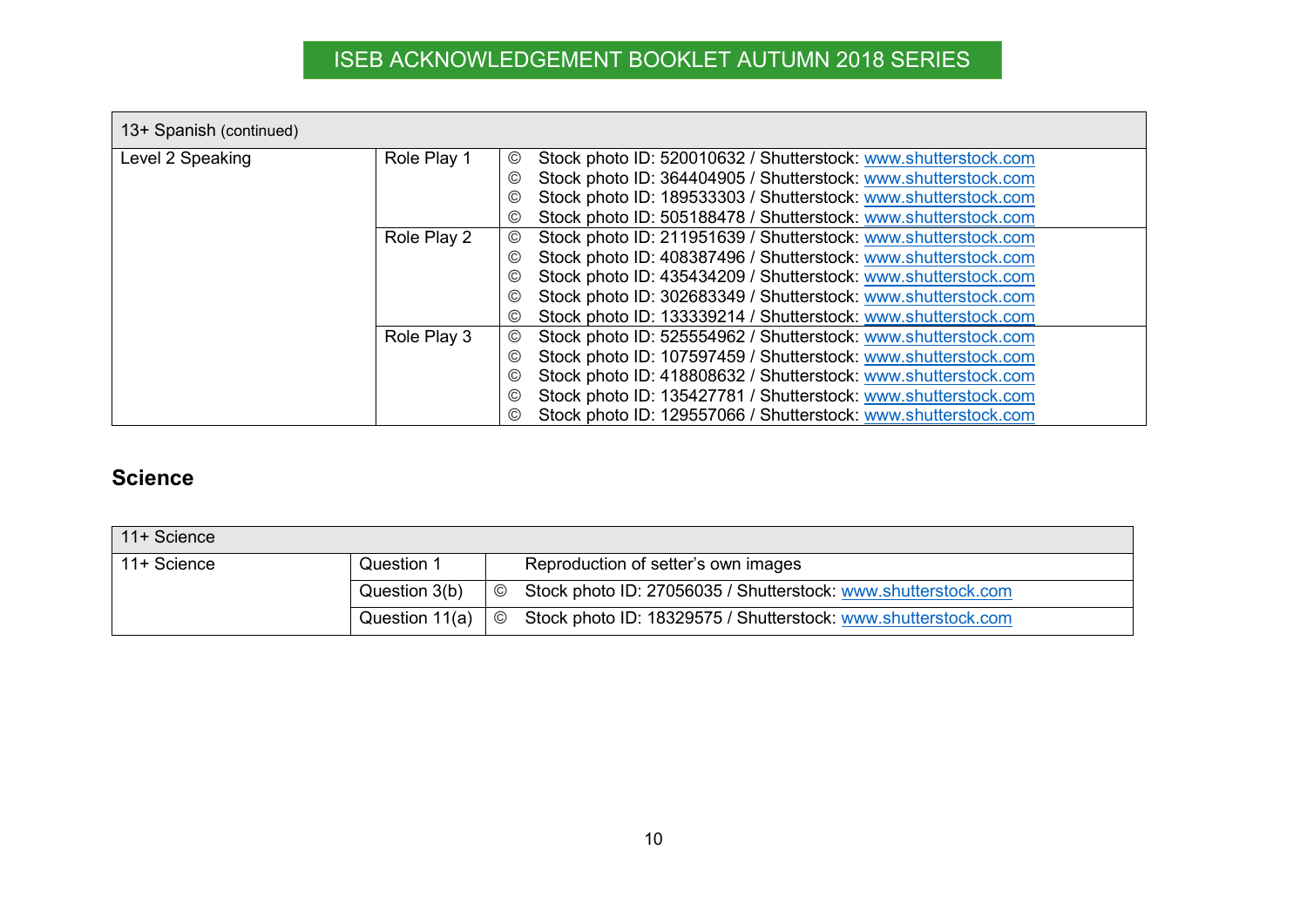| 13+ Spanish (continued) |             |                                                                                  |  |  |  |
|-------------------------|-------------|----------------------------------------------------------------------------------|--|--|--|
| Level 2 Speaking        | Role Play 1 | Stock photo ID: 520010632 / Shutterstock: www.shutterstock.com<br>$\circledcirc$ |  |  |  |
|                         |             | Stock photo ID: 364404905 / Shutterstock: www.shutterstock.com<br>©)             |  |  |  |
|                         |             | Stock photo ID: 189533303 / Shutterstock: www.shutterstock.com<br>©)             |  |  |  |
|                         |             | Stock photo ID: 505188478 / Shutterstock: www.shutterstock.com<br>©)             |  |  |  |
|                         | Role Play 2 | Stock photo ID: 211951639 / Shutterstock: www.shutterstock.com<br>©              |  |  |  |
|                         |             | Stock photo ID: 408387496 / Shutterstock: www.shutterstock.com<br>(C)            |  |  |  |
|                         |             | Stock photo ID: 435434209 / Shutterstock: www.shutterstock.com<br>(C)            |  |  |  |
|                         |             | Stock photo ID: 302683349 / Shutterstock: www.shutterstock.com<br>$\circledcirc$ |  |  |  |
|                         |             | Stock photo ID: 133339214 / Shutterstock: www.shutterstock.com<br>©              |  |  |  |
|                         | Role Play 3 | Stock photo ID: 525554962 / Shutterstock: www.shutterstock.com<br>©              |  |  |  |
|                         |             | Stock photo ID: 107597459 / Shutterstock: www.shutterstock.com<br>©)             |  |  |  |
|                         |             | Stock photo ID: 418808632 / Shutterstock: www.shutterstock.com<br>©              |  |  |  |
|                         |             | Stock photo ID: 135427781 / Shutterstock: www.shutterstock.com<br>©)             |  |  |  |
|                         |             | Stock photo ID: 129557066 / Shutterstock: www.shutterstock.com                   |  |  |  |

### **Science**

<span id="page-9-0"></span>

| 11+ Science |                        |                |                                                               |
|-------------|------------------------|----------------|---------------------------------------------------------------|
| 11+ Science | Question 1             |                | Reproduction of setter's own images                           |
|             | Question 3(b)          | $\circledcirc$ | Stock photo ID: 27056035 / Shutterstock: www.shutterstock.com |
|             | Question 11(a) $\circ$ |                | Stock photo ID: 18329575 / Shutterstock: www.shutterstock.com |